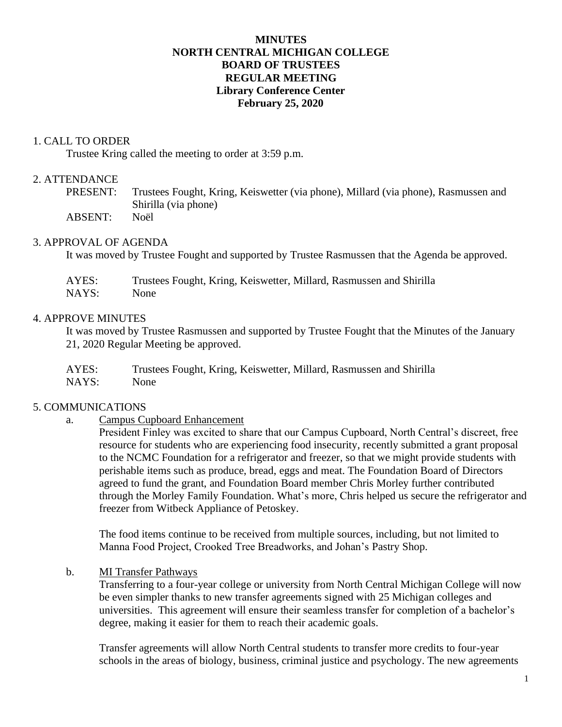### **MINUTES NORTH CENTRAL MICHIGAN COLLEGE BOARD OF TRUSTEES REGULAR MEETING Library Conference Center February 25, 2020**

#### 1. CALL TO ORDER

Trustee Kring called the meeting to order at 3:59 p.m.

### 2. ATTENDANCE

- PRESENT: Trustees Fought, Kring, Keiswetter (via phone), Millard (via phone), Rasmussen and Shirilla (via phone)
- ABSENT: Noël

#### 3. APPROVAL OF AGENDA

It was moved by Trustee Fought and supported by Trustee Rasmussen that the Agenda be approved.

| AYES: | Trustees Fought, Kring, Keiswetter, Millard, Rasmussen and Shirilla |
|-------|---------------------------------------------------------------------|
| NAYS: | None                                                                |

#### 4. APPROVE MINUTES

It was moved by Trustee Rasmussen and supported by Trustee Fought that the Minutes of the January 21, 2020 Regular Meeting be approved.

| AYES: | Trustees Fought, Kring, Keiswetter, Millard, Rasmussen and Shirilla |
|-------|---------------------------------------------------------------------|
| NAYS: | None                                                                |

#### 5. COMMUNICATIONS

a. Campus Cupboard Enhancement

President Finley was excited to share that our Campus Cupboard, North Central's discreet, free resource for students who are experiencing food insecurity, recently submitted a grant proposal to the NCMC Foundation for a refrigerator and freezer, so that we might provide students with perishable items such as produce, bread, eggs and meat. The Foundation Board of Directors agreed to fund the grant, and Foundation Board member Chris Morley further contributed through the Morley Family Foundation. What's more, Chris helped us secure the refrigerator and freezer from Witbeck Appliance of Petoskey.

The food items continue to be received from multiple sources, including, but not limited to Manna Food Project, Crooked Tree Breadworks, and Johan's Pastry Shop.

b. MI Transfer Pathways

Transferring to a four-year college or university from North Central Michigan College will now be even simpler thanks to new transfer agreements signed with 25 Michigan colleges and universities. This agreement will ensure their seamless transfer for completion of a bachelor's degree, making it easier for them to reach their academic goals.

Transfer agreements will allow North Central students to transfer more credits to four-year schools in the areas of biology, business, criminal justice and psychology. The new agreements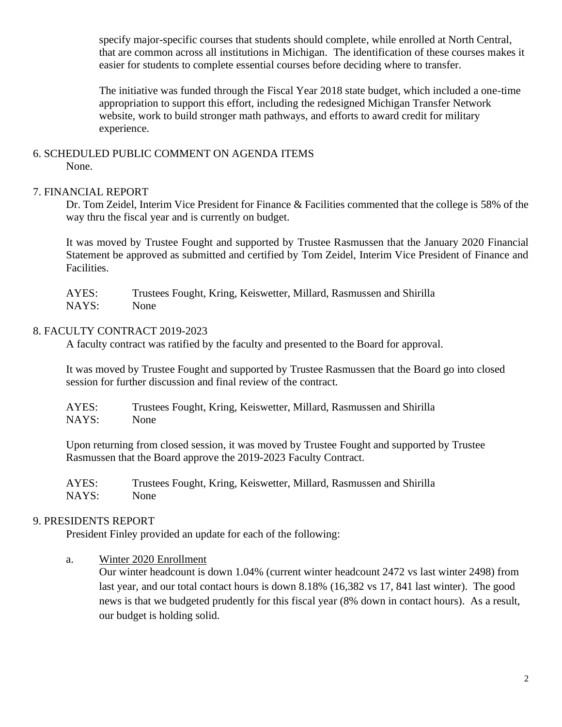specify major-specific courses that students should complete, while enrolled at North Central, that are common across all institutions in Michigan. The identification of these courses makes it easier for students to complete essential courses before deciding where to transfer.

The initiative was funded through the Fiscal Year 2018 state budget, which included a one-time appropriation to support this effort, including the redesigned Michigan Transfer Network website, work to build stronger math pathways, and efforts to award credit for military experience.

#### 6. SCHEDULED PUBLIC COMMENT ON AGENDA ITEMS None.

## 7. FINANCIAL REPORT

Dr. Tom Zeidel, Interim Vice President for Finance & Facilities commented that the college is 58% of the way thru the fiscal year and is currently on budget.

It was moved by Trustee Fought and supported by Trustee Rasmussen that the January 2020 Financial Statement be approved as submitted and certified by Tom Zeidel, Interim Vice President of Finance and Facilities.

| AYES: | Trustees Fought, Kring, Keiswetter, Millard, Rasmussen and Shirilla |
|-------|---------------------------------------------------------------------|
| NAYS: | <b>None</b>                                                         |

## 8. FACULTY CONTRACT 2019-2023

A faculty contract was ratified by the faculty and presented to the Board for approval.

It was moved by Trustee Fought and supported by Trustee Rasmussen that the Board go into closed session for further discussion and final review of the contract.

| AYES: | Trustees Fought, Kring, Keiswetter, Millard, Rasmussen and Shirilla |
|-------|---------------------------------------------------------------------|
| NAYS: | None                                                                |

Upon returning from closed session, it was moved by Trustee Fought and supported by Trustee Rasmussen that the Board approve the 2019-2023 Faculty Contract.

AYES: Trustees Fought, Kring, Keiswetter, Millard, Rasmussen and Shirilla NAYS: None

## 9. PRESIDENTS REPORT

President Finley provided an update for each of the following:

a. Winter 2020 Enrollment

Our winter headcount is down 1.04% (current winter headcount 2472 vs last winter 2498) from last year, and our total contact hours is down 8.18% (16,382 vs 17, 841 last winter). The good news is that we budgeted prudently for this fiscal year (8% down in contact hours). As a result, our budget is holding solid.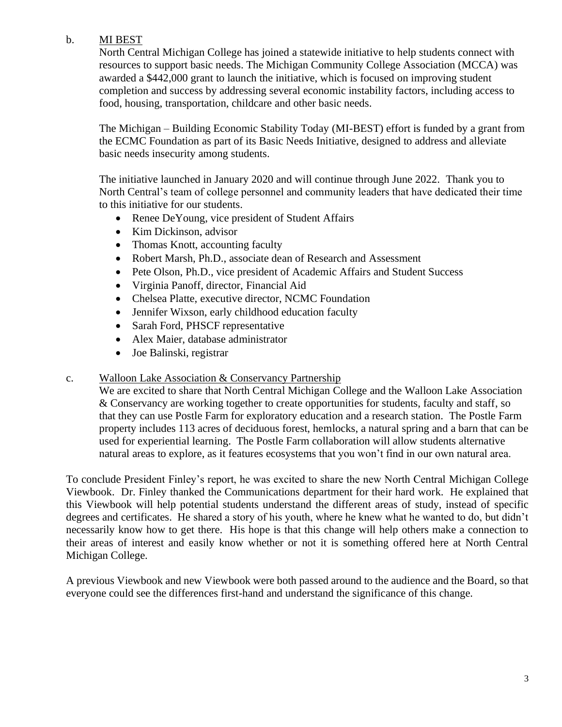## b. MI BEST

North Central Michigan College has joined a statewide initiative to help students connect with resources to support basic needs. The Michigan Community College Association (MCCA) was awarded a \$442,000 grant to launch the initiative, which is focused on improving student completion and success by addressing several economic instability factors, including access to food, housing, transportation, childcare and other basic needs.

The Michigan – Building Economic Stability Today (MI-BEST) effort is funded by a grant from the ECMC Foundation as part of its Basic Needs Initiative, designed to address and alleviate basic needs insecurity among students.

The initiative launched in January 2020 and will continue through June 2022. Thank you to North Central's team of college personnel and community leaders that have dedicated their time to this initiative for our students.

- Renee DeYoung, vice president of Student Affairs
- Kim Dickinson, advisor
- Thomas Knott, accounting faculty
- Robert Marsh, Ph.D., associate dean of Research and Assessment
- Pete Olson, Ph.D., vice president of Academic Affairs and Student Success
- Virginia Panoff, director, Financial Aid
- Chelsea Platte, executive director, NCMC Foundation
- Jennifer Wixson, early childhood education faculty
- Sarah Ford, PHSCF representative
- Alex Maier, database administrator
- Joe Balinski, registrar

## c. Walloon Lake Association & Conservancy Partnership

We are excited to share that North Central Michigan College and the Walloon Lake Association & Conservancy are working together to create opportunities for students, faculty and staff, so that they can use Postle Farm for exploratory education and a research station. The Postle Farm property includes 113 acres of deciduous forest, hemlocks, a natural spring and a barn that can be used for experiential learning. The Postle Farm collaboration will allow students alternative natural areas to explore, as it features ecosystems that you won't find in our own natural area.

To conclude President Finley's report, he was excited to share the new North Central Michigan College Viewbook. Dr. Finley thanked the Communications department for their hard work. He explained that this Viewbook will help potential students understand the different areas of study, instead of specific degrees and certificates. He shared a story of his youth, where he knew what he wanted to do, but didn't necessarily know how to get there. His hope is that this change will help others make a connection to their areas of interest and easily know whether or not it is something offered here at North Central Michigan College.

A previous Viewbook and new Viewbook were both passed around to the audience and the Board, so that everyone could see the differences first-hand and understand the significance of this change.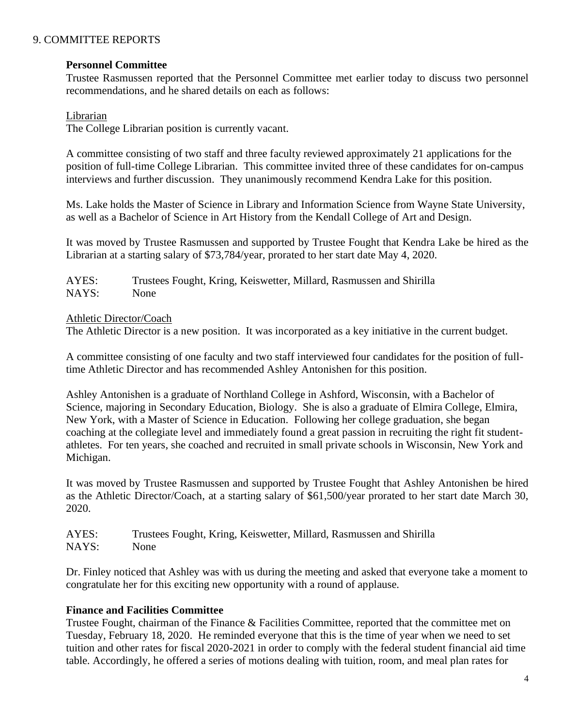### 9. COMMITTEE REPORTS

#### **Personnel Committee**

Trustee Rasmussen reported that the Personnel Committee met earlier today to discuss two personnel recommendations, and he shared details on each as follows:

#### Librarian

The College Librarian position is currently vacant.

A committee consisting of two staff and three faculty reviewed approximately 21 applications for the position of full-time College Librarian. This committee invited three of these candidates for on-campus interviews and further discussion. They unanimously recommend Kendra Lake for this position.

Ms. Lake holds the Master of Science in Library and Information Science from Wayne State University, as well as a Bachelor of Science in Art History from the Kendall College of Art and Design.

It was moved by Trustee Rasmussen and supported by Trustee Fought that Kendra Lake be hired as the Librarian at a starting salary of \$73,784/year, prorated to her start date May 4, 2020.

AYES: Trustees Fought, Kring, Keiswetter, Millard, Rasmussen and Shirilla NAYS: None

#### Athletic Director/Coach

The Athletic Director is a new position. It was incorporated as a key initiative in the current budget.

A committee consisting of one faculty and two staff interviewed four candidates for the position of fulltime Athletic Director and has recommended Ashley Antonishen for this position.

Ashley Antonishen is a graduate of Northland College in Ashford, Wisconsin, with a Bachelor of Science, majoring in Secondary Education, Biology. She is also a graduate of Elmira College, Elmira, New York, with a Master of Science in Education. Following her college graduation, she began coaching at the collegiate level and immediately found a great passion in recruiting the right fit studentathletes. For ten years, she coached and recruited in small private schools in Wisconsin, New York and Michigan.

It was moved by Trustee Rasmussen and supported by Trustee Fought that Ashley Antonishen be hired as the Athletic Director/Coach, at a starting salary of \$61,500/year prorated to her start date March 30, 2020.

AYES: Trustees Fought, Kring, Keiswetter, Millard, Rasmussen and Shirilla NAYS: None

Dr. Finley noticed that Ashley was with us during the meeting and asked that everyone take a moment to congratulate her for this exciting new opportunity with a round of applause.

## **Finance and Facilities Committee**

Trustee Fought, chairman of the Finance & Facilities Committee, reported that the committee met on Tuesday, February 18, 2020. He reminded everyone that this is the time of year when we need to set tuition and other rates for fiscal 2020-2021 in order to comply with the federal student financial aid time table. Accordingly, he offered a series of motions dealing with tuition, room, and meal plan rates for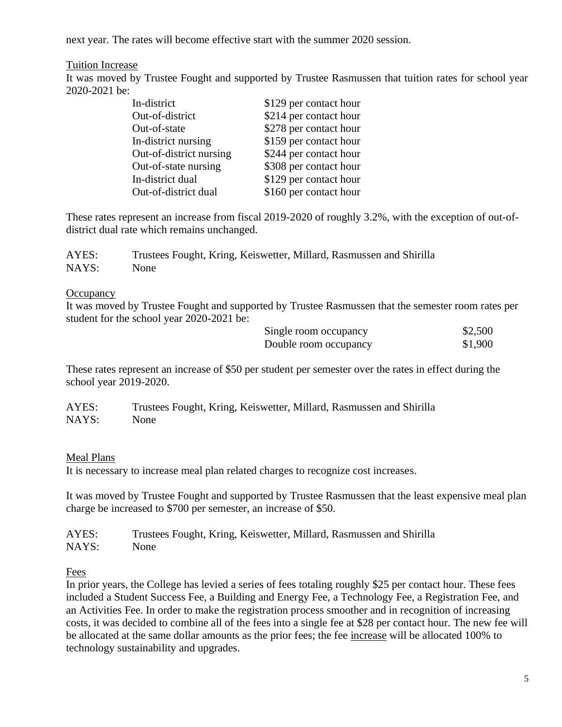next year. The rates will become effective start with the summer 2020 session.

### Tuition Increase

It was moved by Trustee Fought and supported by Trustee Rasmussen that tuition rates for school year 2020-2021 be:

| In-district             | \$129 per contact hour |
|-------------------------|------------------------|
| Out-of-district         | \$214 per contact hour |
| Out-of-state            | \$278 per contact hour |
| In-district nursing     | \$159 per contact hour |
| Out-of-district nursing | \$244 per contact hour |
| Out-of-state nursing    | \$308 per contact hour |
| In-district dual        | \$129 per contact hour |
| Out-of-district dual    | \$160 per contact hour |

These rates represent an increase from fiscal 2019-2020 of roughly 3.2%, with the exception of out-ofdistrict dual rate which remains unchanged.

| AYES: | Trustees Fought, Kring, Keiswetter, Millard, Rasmussen and Shirilla |
|-------|---------------------------------------------------------------------|
| NAYS: | <b>None</b>                                                         |

#### **Occupancy**

It was moved by Trustee Fought and supported by Trustee Rasmussen that the semester room rates per student for the school year 2020-2021 be:

| Single room occupancy | \$2,500 |
|-----------------------|---------|
| Double room occupancy | \$1,900 |

These rates represent an increase of \$50 per student per semester over the rates in effect during the school year 2019-2020.

| AYES: | Trustees Fought, Kring, Keiswetter, Millard, Rasmussen and Shirilla |
|-------|---------------------------------------------------------------------|
| NAYS: | <b>None</b>                                                         |

#### Meal Plans

It is necessary to increase meal plan related charges to recognize cost increases.

It was moved by Trustee Fought and supported by Trustee Rasmussen that the least expensive meal plan charge be increased to \$700 per semester, an increase of \$50.

| AYES: | Trustees Fought, Kring, Keiswetter, Millard, Rasmussen and Shirilla |
|-------|---------------------------------------------------------------------|
| NAYS: | None                                                                |

Fees

In prior years, the College has levied a series of fees totaling roughly \$25 per contact hour. These fees included a Student Success Fee, a Building and Energy Fee, a Technology Fee, a Registration Fee, and an Activities Fee. In order to make the registration process smoother and in recognition of increasing costs, it was decided to combine all of the fees into a single fee at \$28 per contact hour. The new fee will be allocated at the same dollar amounts as the prior fees; the fee increase will be allocated 100% to technology sustainability and upgrades.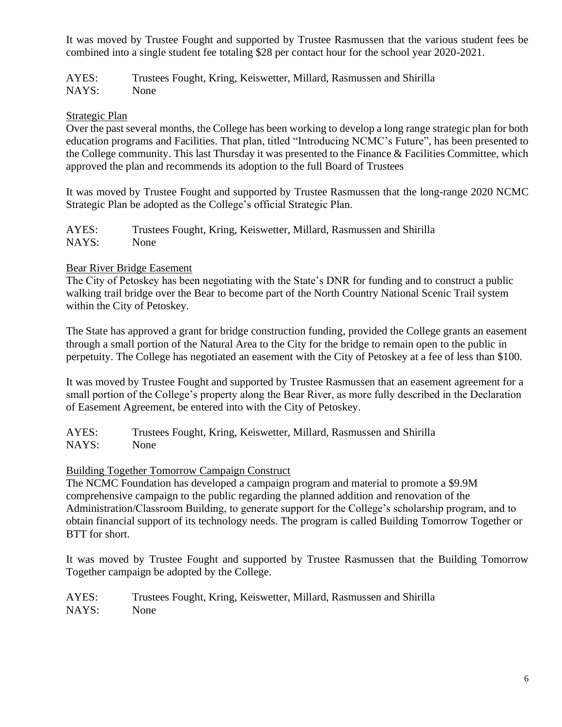It was moved by Trustee Fought and supported by Trustee Rasmussen that the various student fees be combined into a single student fee totaling \$28 per contact hour for the school year 2020-2021.

AYES: Trustees Fought, Kring, Keiswetter, Millard, Rasmussen and Shirilla NAYS: None

## Strategic Plan

Over the past several months, the College has been working to develop a long range strategic plan for both education programs and Facilities. That plan, titled "Introducing NCMC's Future", has been presented to the College community. This last Thursday it was presented to the Finance & Facilities Committee, which approved the plan and recommends its adoption to the full Board of Trustees

It was moved by Trustee Fought and supported by Trustee Rasmussen that the long-range 2020 NCMC Strategic Plan be adopted as the College's official Strategic Plan.

| AYES: | Trustees Fought, Kring, Keiswetter, Millard, Rasmussen and Shirilla |
|-------|---------------------------------------------------------------------|
| NAYS: | <b>None</b>                                                         |

## Bear River Bridge Easement

The City of Petoskey has been negotiating with the State's DNR for funding and to construct a public walking trail bridge over the Bear to become part of the North Country National Scenic Trail system within the City of Petoskey.

The State has approved a grant for bridge construction funding, provided the College grants an easement through a small portion of the Natural Area to the City for the bridge to remain open to the public in perpetuity. The College has negotiated an easement with the City of Petoskey at a fee of less than \$100.

It was moved by Trustee Fought and supported by Trustee Rasmussen that an easement agreement for a small portion of the College's property along the Bear River, as more fully described in the Declaration of Easement Agreement, be entered into with the City of Petoskey.

AYES: Trustees Fought, Kring, Keiswetter, Millard, Rasmussen and Shirilla NAYS: None

## Building Together Tomorrow Campaign Construct

The NCMC Foundation has developed a campaign program and material to promote a \$9.9M comprehensive campaign to the public regarding the planned addition and renovation of the Administration/Classroom Building, to generate support for the College's scholarship program, and to obtain financial support of its technology needs. The program is called Building Tomorrow Together or BTT for short.

It was moved by Trustee Fought and supported by Trustee Rasmussen that the Building Tomorrow Together campaign be adopted by the College.

AYES: Trustees Fought, Kring, Keiswetter, Millard, Rasmussen and Shirilla NAYS: None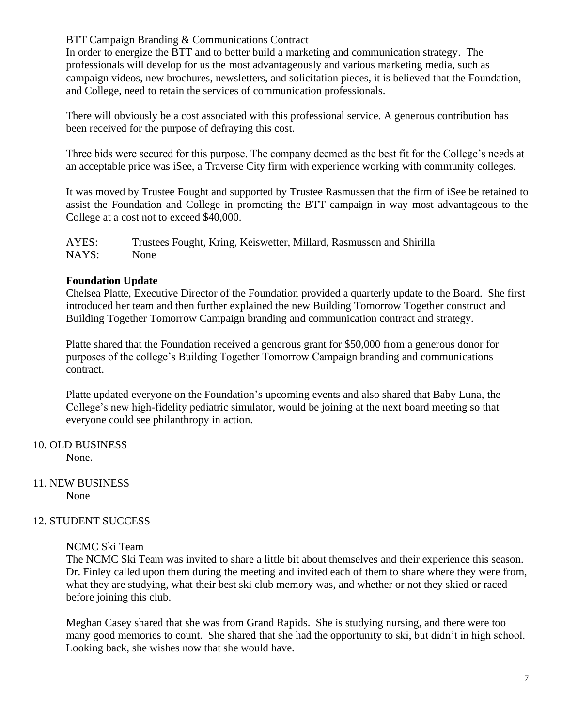### BTT Campaign Branding & Communications Contract

In order to energize the BTT and to better build a marketing and communication strategy. The professionals will develop for us the most advantageously and various marketing media, such as campaign videos, new brochures, newsletters, and solicitation pieces, it is believed that the Foundation, and College, need to retain the services of communication professionals.

There will obviously be a cost associated with this professional service. A generous contribution has been received for the purpose of defraying this cost.

Three bids were secured for this purpose. The company deemed as the best fit for the College's needs at an acceptable price was iSee, a Traverse City firm with experience working with community colleges.

It was moved by Trustee Fought and supported by Trustee Rasmussen that the firm of iSee be retained to assist the Foundation and College in promoting the BTT campaign in way most advantageous to the College at a cost not to exceed \$40,000.

AYES: Trustees Fought, Kring, Keiswetter, Millard, Rasmussen and Shirilla NAYS: None

### **Foundation Update**

Chelsea Platte, Executive Director of the Foundation provided a quarterly update to the Board. She first introduced her team and then further explained the new Building Tomorrow Together construct and Building Together Tomorrow Campaign branding and communication contract and strategy.

Platte shared that the Foundation received a generous grant for \$50,000 from a generous donor for purposes of the college's Building Together Tomorrow Campaign branding and communications contract.

Platte updated everyone on the Foundation's upcoming events and also shared that Baby Luna, the College's new high-fidelity pediatric simulator, would be joining at the next board meeting so that everyone could see philanthropy in action.

# 10. OLD BUSINESS

None.

#### 11. NEW BUSINESS None

## 12. STUDENT SUCCESS

#### NCMC Ski Team

The NCMC Ski Team was invited to share a little bit about themselves and their experience this season. Dr. Finley called upon them during the meeting and invited each of them to share where they were from, what they are studying, what their best ski club memory was, and whether or not they skied or raced before joining this club.

Meghan Casey shared that she was from Grand Rapids. She is studying nursing, and there were too many good memories to count. She shared that she had the opportunity to ski, but didn't in high school. Looking back, she wishes now that she would have.